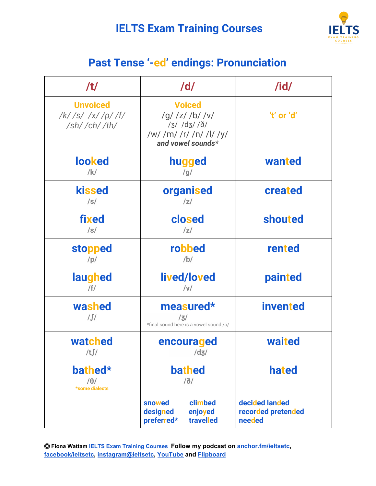## **IELTS Exam Training Courses**



## **Past Tense '-ed' endings: Pronunciation**

| /t/                                                                             | /d/                                                                                                              | $\overline{\mathsf{I}}$                        |
|---------------------------------------------------------------------------------|------------------------------------------------------------------------------------------------------------------|------------------------------------------------|
| <b>Unvoiced</b><br>$/k/$ /s/ /x/ /p/ /f/<br>$\frac{\sin(\theta)}{\sin(\theta)}$ | <b>Voiced</b><br>$/g/$ /z/ /b/ /v/<br>$/3/$ $/d3/$ $/$ $\delta/$<br>/w/ /m/ /r/ /n/ /l/ /y/<br>and vowel sounds* | 't' or 'd'                                     |
| <b>looked</b><br>$/$ k/                                                         | hugged<br>/g/                                                                                                    | wanted                                         |
| <b>kissed</b><br>$\sqrt{s}$                                                     | organised<br> z                                                                                                  | created                                        |
| fixed<br>/s/                                                                    | closed<br> z                                                                                                     | shouted                                        |
| <b>stopped</b><br>/p/                                                           | robbed<br>/b/                                                                                                    | rented                                         |
| laughed<br>/f/                                                                  | lived/loved<br> V                                                                                                | painted                                        |
| washed<br>$\int$                                                                | measured*<br>/3/<br>*final sound here is a vowel sound /ə/                                                       | <b>invented</b>                                |
| watched<br>/t∫/                                                                 | encouraged<br>/d3/                                                                                               | waited                                         |
| bathed*<br>$/ \theta /$<br>*some dialects                                       | <b>bathed</b><br>$\delta/$                                                                                       | hated                                          |
|                                                                                 | snowed<br>climbed<br>designed<br>enjoyed<br>preferred*<br>travelled                                              | decided landed<br>recorded pretended<br>needed |

Ⓒ **Fiona Wattam [IELTS Exam Training Courses](https://www.ieltsetc.com/) Follow my podcast on [anchor.fm/ieltsetc,](https://anchor.fm/ieltsetc) [facebook/ieltsetc](https://www.facebook.com/groups/528060717568309/), [instagram@ieltsetc](https://www.instagram.com/ieltsetc/), [YouTube](https://www.youtube.com/channel/UC1tn5rRqHkjO2YWZ_MWwvZw) and [Flipboard](https://flipboard.com/@FionaWattam)**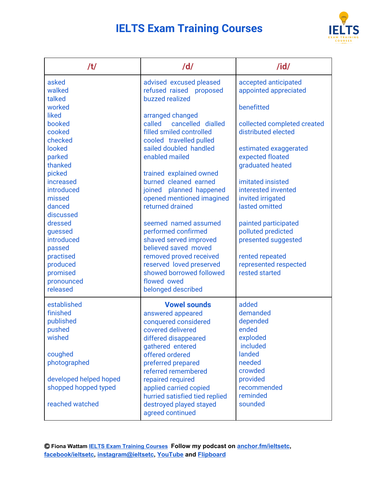## **IELTS Exam Training Courses**



| /t/                       | /d/                                                                   | $\overline{I}$                                |
|---------------------------|-----------------------------------------------------------------------|-----------------------------------------------|
| asked<br>walked<br>talked | advised excused pleased<br>refused raised proposed<br>buzzed realized | accepted anticipated<br>appointed appreciated |
| worked                    |                                                                       | benefitted                                    |
| liked                     | arranged changed                                                      |                                               |
| booked                    | cancelled dialled<br>called                                           | collected completed created                   |
| cooked                    | filled smiled controlled                                              | distributed elected                           |
| checked                   | cooled travelled pulled                                               |                                               |
| looked<br>parked          | sailed doubled handled<br>enabled mailed                              | estimated exaggerated<br>expected floated     |
| thanked                   |                                                                       | graduated heated                              |
| picked                    | trained explained owned                                               |                                               |
| increased                 | burned cleaned earned                                                 | imitated insisted                             |
| introduced                | joined planned happened                                               | interested invented                           |
| missed                    | opened mentioned imagined                                             | invited irrigated                             |
| danced                    | returned drained                                                      | lasted omitted                                |
| discussed                 |                                                                       |                                               |
| dressed<br>guessed        | seemed named assumed<br>performed confirmed                           | painted participated<br>polluted predicted    |
| introduced                | shaved served improved                                                | presented suggested                           |
| passed                    | believed saved moved                                                  |                                               |
| practised                 | removed proved received                                               | rented repeated                               |
| produced                  | reserved loved preserved                                              | represented respected                         |
| promised                  | showed borrowed followed                                              | rested started                                |
| pronounced                | flowed owed                                                           |                                               |
| released                  | belonged described                                                    |                                               |
| established               | <b>Vowel sounds</b>                                                   | added                                         |
| finished                  | answered appeared                                                     | demanded                                      |
| published                 | conquered considered                                                  | depended                                      |
| pushed                    | covered delivered                                                     | ended                                         |
| wished                    | differed disappeared<br>gathered entered                              | exploded<br>included                          |
| coughed                   | offered ordered                                                       | landed                                        |
| photographed              | preferred prepared                                                    | needed                                        |
|                           | referred remembered                                                   | crowded                                       |
| developed helped hoped    | repaired required                                                     | provided                                      |
| shopped hopped typed      | applied carried copied                                                | recommended                                   |
|                           | hurried satisfied tied replied                                        | reminded                                      |
| reached watched           | destroyed played stayed<br>agreed continued                           | sounded                                       |

Ⓒ **Fiona Wattam [IELTS Exam Training Courses](https://www.ieltsetc.com/) Follow my podcast on [anchor.fm/ieltsetc,](https://anchor.fm/ieltsetc) [facebook/ieltsetc](https://www.facebook.com/groups/528060717568309/), [instagram@ieltsetc](https://www.instagram.com/ieltsetc/), [YouTube](https://www.youtube.com/channel/UC1tn5rRqHkjO2YWZ_MWwvZw) and [Flipboard](https://flipboard.com/@FionaWattam)**